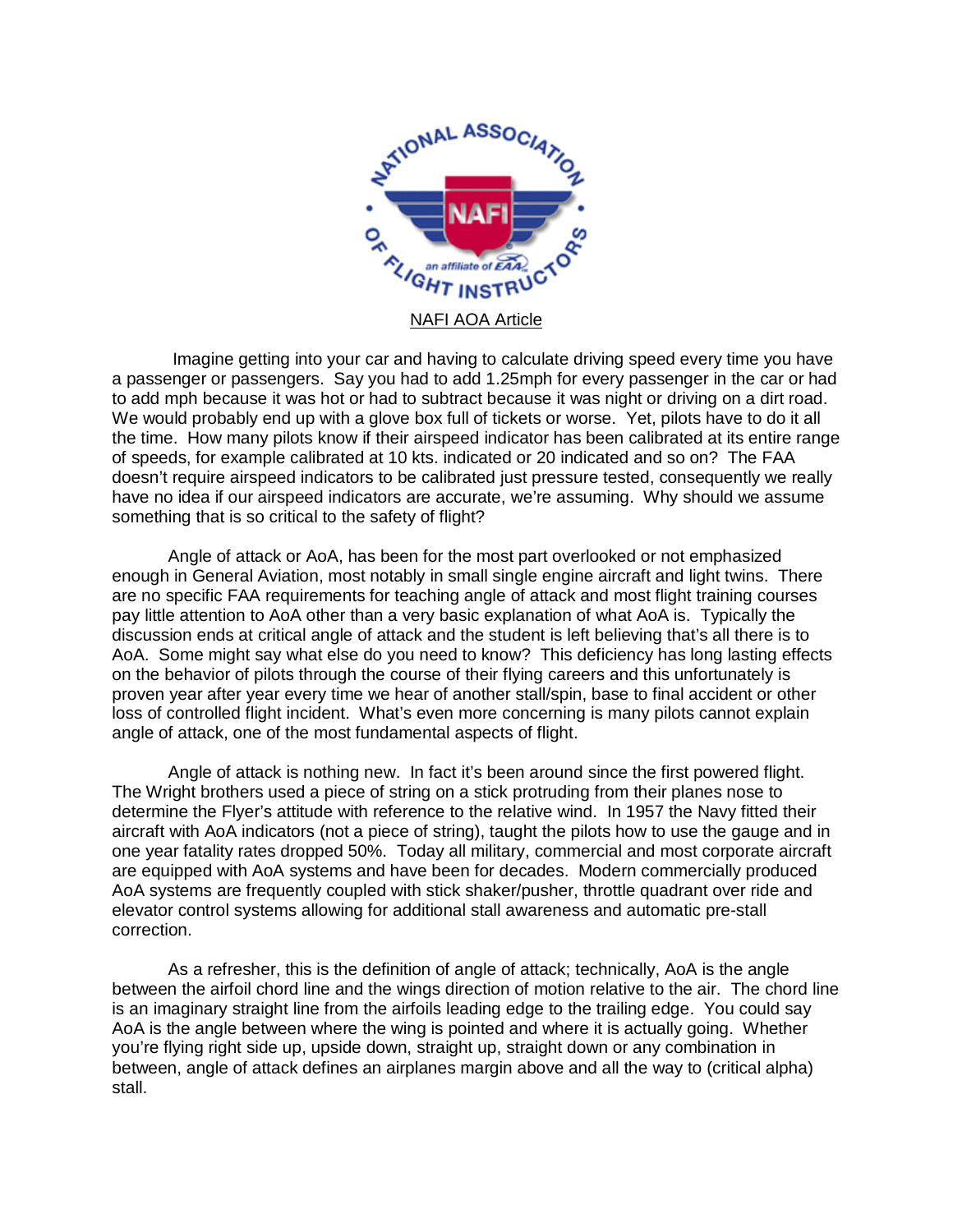

Imagine getting into your car and having to calculate driving speed every time you have a passenger or passengers. Say you had to add 1.25mph for every passenger in the car or had to add mph because it was hot or had to subtract because it was night or driving on a dirt road. We would probably end up with a glove box full of tickets or worse. Yet, pilots have to do it all the time. How many pilots know if their airspeed indicator has been calibrated at its entire range of speeds, for example calibrated at 10 kts. indicated or 20 indicated and so on? The FAA doesn't require airspeed indicators to be calibrated just pressure tested, consequently we really have no idea if our airspeed indicators are accurate, we're assuming. Why should we assume something that is so critical to the safety of flight?

Angle of attack or AoA, has been for the most part overlooked or not emphasized enough in General Aviation, most notably in small single engine aircraft and light twins. There are no specific FAA requirements for teaching angle of attack and most flight training courses pay little attention to AoA other than a very basic explanation of what AoA is. Typically the discussion ends at critical angle of attack and the student is left believing that's all there is to AoA. Some might say what else do you need to know? This deficiency has long lasting effects on the behavior of pilots through the course of their flying careers and this unfortunately is proven year after year every time we hear of another stall/spin, base to final accident or other loss of controlled flight incident. What's even more concerning is many pilots cannot explain angle of attack, one of the most fundamental aspects of flight.

Angle of attack is nothing new. In fact it's been around since the first powered flight. The Wright brothers used a piece of string on a stick protruding from their planes nose to determine the Flyer's attitude with reference to the relative wind. In 1957 the Navy fitted their aircraft with AoA indicators (not a piece of string), taught the pilots how to use the gauge and in one year fatality rates dropped 50%. Today all military, commercial and most corporate aircraft are equipped with AoA systems and have been for decades. Modern commercially produced AoA systems are frequently coupled with stick shaker/pusher, throttle quadrant over ride and elevator control systems allowing for additional stall awareness and automatic pre-stall correction.

As a refresher, this is the definition of angle of attack; technically, AoA is the angle between the airfoil chord line and the wings direction of motion relative to the air. The chord line is an imaginary straight line from the airfoils leading edge to the trailing edge. You could say AoA is the angle between where the wing is pointed and where it is actually going. Whether you're flying right side up, upside down, straight up, straight down or any combination in between, angle of attack defines an airplanes margin above and all the way to (critical alpha) stall.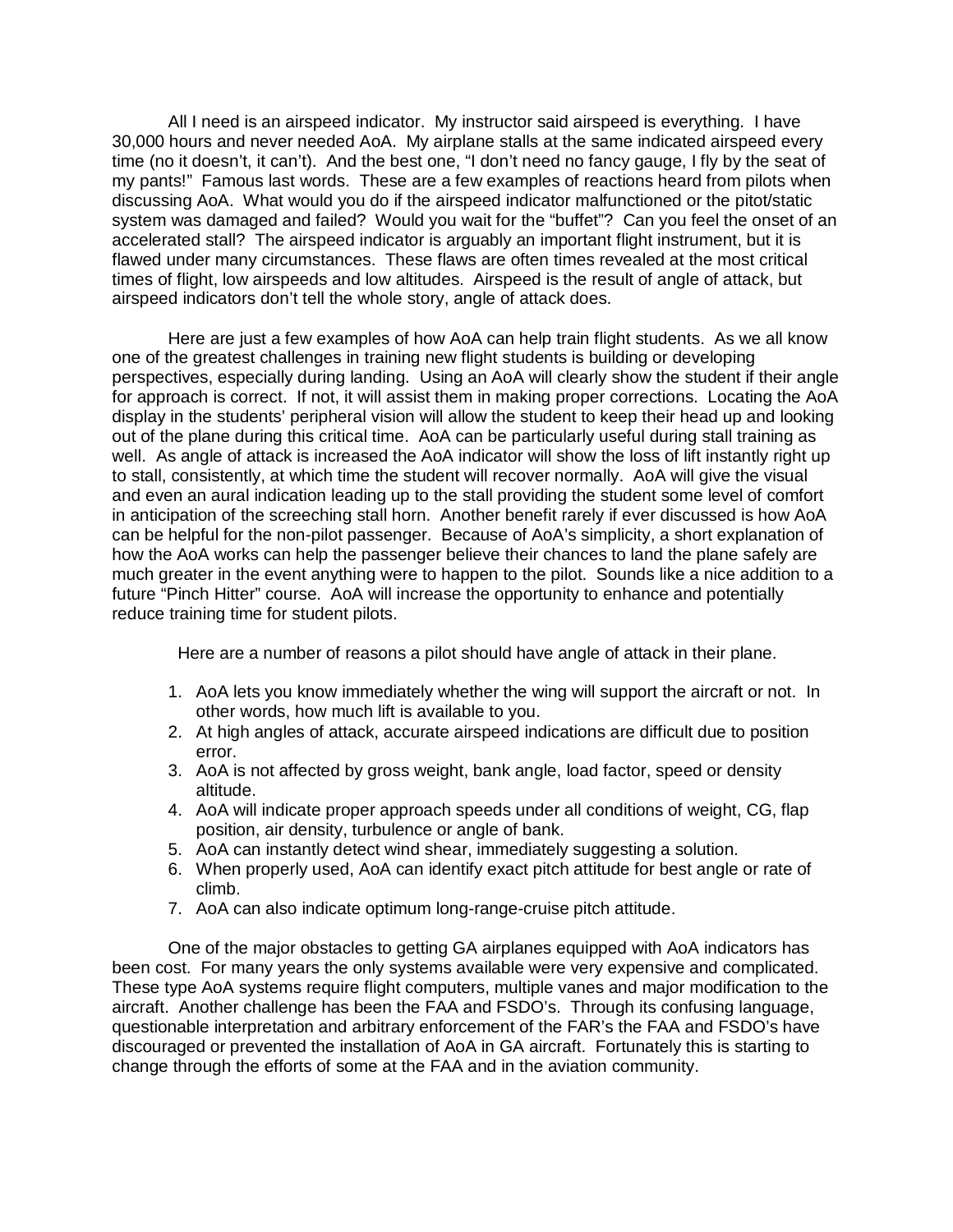All I need is an airspeed indicator. My instructor said airspeed is everything. I have 30,000 hours and never needed AoA. My airplane stalls at the same indicated airspeed every time (no it doesn't, it can't). And the best one, "I don't need no fancy gauge, I fly by the seat of my pants!" Famous last words. These are a few examples of reactions heard from pilots when discussing AoA. What would you do if the airspeed indicator malfunctioned or the pitot/static system was damaged and failed? Would you wait for the "buffet"? Can you feel the onset of an accelerated stall? The airspeed indicator is arguably an important flight instrument, but it is flawed under many circumstances. These flaws are often times revealed at the most critical times of flight, low airspeeds and low altitudes. Airspeed is the result of angle of attack, but airspeed indicators don't tell the whole story, angle of attack does.

Here are just a few examples of how AoA can help train flight students. As we all know one of the greatest challenges in training new flight students is building or developing perspectives, especially during landing. Using an AoA will clearly show the student if their angle for approach is correct. If not, it will assist them in making proper corrections. Locating the AoA display in the students' peripheral vision will allow the student to keep their head up and looking out of the plane during this critical time. AoA can be particularly useful during stall training as well. As angle of attack is increased the AoA indicator will show the loss of lift instantly right up to stall, consistently, at which time the student will recover normally. AoA will give the visual and even an aural indication leading up to the stall providing the student some level of comfort in anticipation of the screeching stall horn. Another benefit rarely if ever discussed is how AoA can be helpful for the non-pilot passenger. Because of AoA's simplicity, a short explanation of how the AoA works can help the passenger believe their chances to land the plane safely are much greater in the event anything were to happen to the pilot. Sounds like a nice addition to a future "Pinch Hitter" course. AoA will increase the opportunity to enhance and potentially reduce training time for student pilots.

Here are a number of reasons a pilot should have angle of attack in their plane.

- 1. AoA lets you know immediately whether the wing will support the aircraft or not. In other words, how much lift is available to you.
- 2. At high angles of attack, accurate airspeed indications are difficult due to position error.
- 3. AoA is not affected by gross weight, bank angle, load factor, speed or density altitude.
- 4. AoA will indicate proper approach speeds under all conditions of weight, CG, flap position, air density, turbulence or angle of bank.
- 5. AoA can instantly detect wind shear, immediately suggesting a solution.
- 6. When properly used, AoA can identify exact pitch attitude for best angle or rate of climb.
- 7. AoA can also indicate optimum long-range-cruise pitch attitude.

One of the major obstacles to getting GA airplanes equipped with AoA indicators has been cost. For many years the only systems available were very expensive and complicated. These type AoA systems require flight computers, multiple vanes and major modification to the aircraft. Another challenge has been the FAA and FSDO's. Through its confusing language, questionable interpretation and arbitrary enforcement of the FAR's the FAA and FSDO's have discouraged or prevented the installation of AoA in GA aircraft. Fortunately this is starting to change through the efforts of some at the FAA and in the aviation community.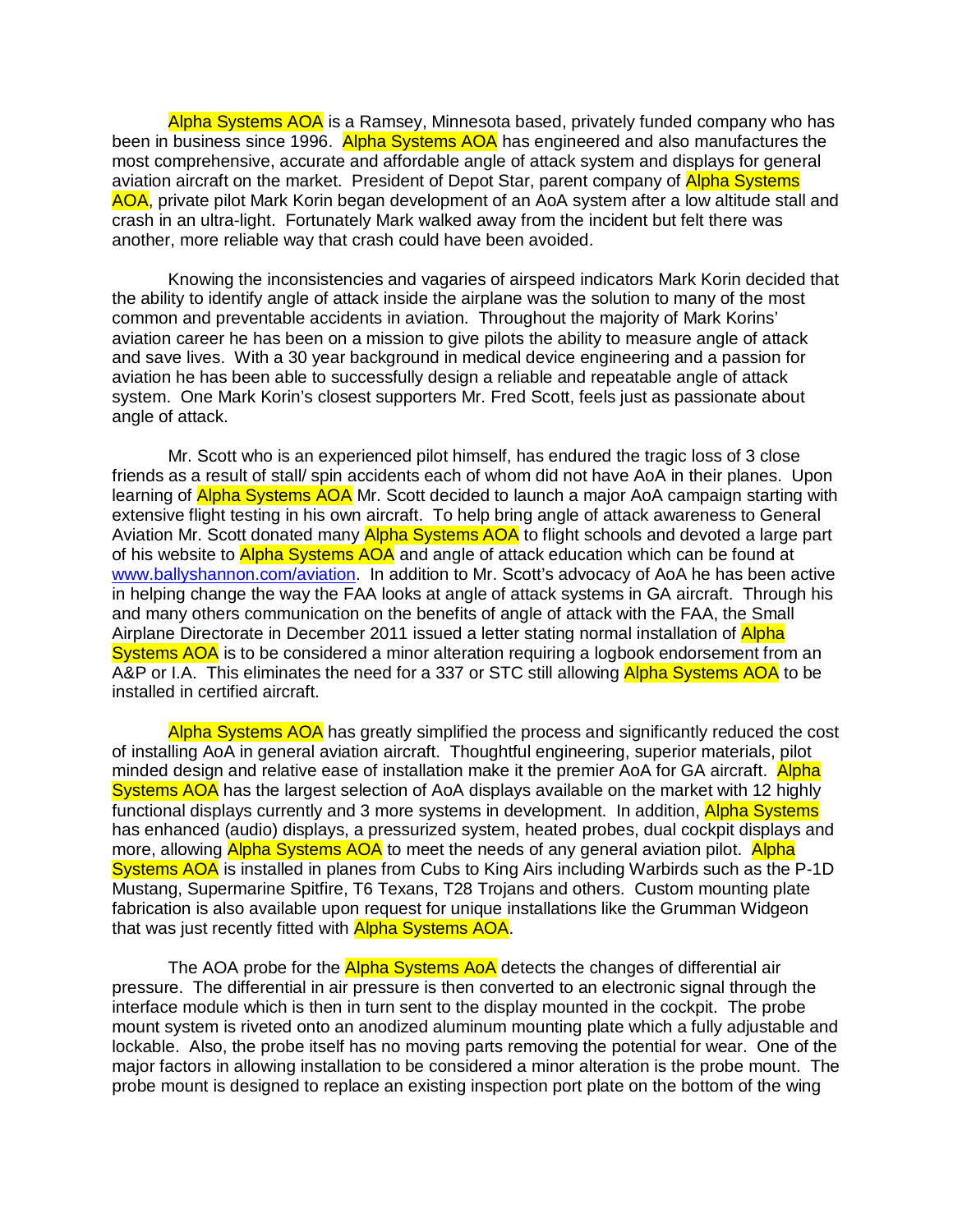Alpha Systems AOA is a Ramsey, Minnesota based, privately funded company who has been in business since 1996. Alpha Systems AOA has engineered and also manufactures the most comprehensive, accurate and affordable angle of attack system and displays for general aviation aircraft on the market. President of Depot Star, parent company of Alpha Systems AOA, private pilot Mark Korin began development of an AoA system after a low altitude stall and crash in an ultra-light. Fortunately Mark walked away from the incident but felt there was another, more reliable way that crash could have been avoided.

Knowing the inconsistencies and vagaries of airspeed indicators Mark Korin decided that the ability to identify angle of attack inside the airplane was the solution to many of the most common and preventable accidents in aviation. Throughout the majority of Mark Korins' aviation career he has been on a mission to give pilots the ability to measure angle of attack and save lives. With a 30 year background in medical device engineering and a passion for aviation he has been able to successfully design a reliable and repeatable angle of attack system. One Mark Korin's closest supporters Mr. Fred Scott, feels just as passionate about angle of attack.

Mr. Scott who is an experienced pilot himself, has endured the tragic loss of 3 close friends as a result of stall/ spin accidents each of whom did not have AoA in their planes. Upon learning of Alpha Systems AOA Mr. Scott decided to launch a major AoA campaign starting with extensive flight testing in his own aircraft. To help bring angle of attack awareness to General Aviation Mr. Scott donated many Alpha Systems AOA to flight schools and devoted a large part of his website to Alpha Systems AOA and angle of attack education which can be found at [www.ballyshannon.com/aviation.](http://www.ballyshannon.com/aviation) In addition to Mr. Scott's advocacy of AoA he has been active in helping change the way the FAA looks at angle of attack systems in GA aircraft. Through his and many others communication on the benefits of angle of attack with the FAA, the Small Airplane Directorate in December 2011 issued a letter stating normal installation of Alpha Systems AOA is to be considered a minor alteration requiring a logbook endorsement from an A&P or I.A. This eliminates the need for a 337 or STC still allowing Alpha Systems AOA to be installed in certified aircraft.

Alpha Systems AOA has greatly simplified the process and significantly reduced the cost of installing AoA in general aviation aircraft. Thoughtful engineering, superior materials, pilot minded design and relative ease of installation make it the premier AoA for GA aircraft. Alpha Systems AOA has the largest selection of AoA displays available on the market with 12 highly functional displays currently and 3 more systems in development. In addition, Alpha Systems has enhanced (audio) displays, a pressurized system, heated probes, dual cockpit displays and more, allowing **Alpha Systems AOA** to meet the needs of any general aviation pilot. Alpha Systems AOA is installed in planes from Cubs to King Airs including Warbirds such as the P-1D Mustang, Supermarine Spitfire, T6 Texans, T28 Trojans and others. Custom mounting plate fabrication is also available upon request for unique installations like the Grumman Widgeon that was just recently fitted with **Alpha Systems AOA**.

The AOA probe for the **Alpha Systems AoA** detects the changes of differential air pressure. The differential in air pressure is then converted to an electronic signal through the interface module which is then in turn sent to the display mounted in the cockpit. The probe mount system is riveted onto an anodized aluminum mounting plate which a fully adjustable and lockable. Also, the probe itself has no moving parts removing the potential for wear. One of the major factors in allowing installation to be considered a minor alteration is the probe mount. The probe mount is designed to replace an existing inspection port plate on the bottom of the wing